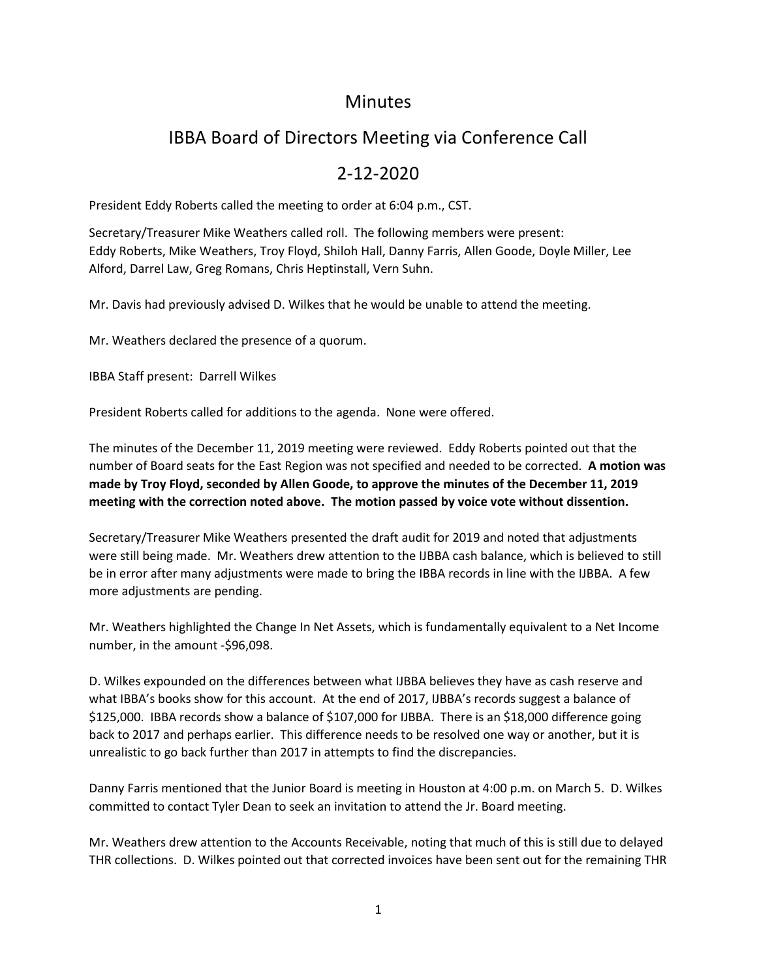## **Minutes**

# IBBA Board of Directors Meeting via Conference Call

## 2-12-2020

President Eddy Roberts called the meeting to order at 6:04 p.m., CST.

Secretary/Treasurer Mike Weathers called roll. The following members were present: Eddy Roberts, Mike Weathers, Troy Floyd, Shiloh Hall, Danny Farris, Allen Goode, Doyle Miller, Lee Alford, Darrel Law, Greg Romans, Chris Heptinstall, Vern Suhn.

Mr. Davis had previously advised D. Wilkes that he would be unable to attend the meeting.

Mr. Weathers declared the presence of a quorum.

IBBA Staff present: Darrell Wilkes

President Roberts called for additions to the agenda. None were offered.

The minutes of the December 11, 2019 meeting were reviewed. Eddy Roberts pointed out that the number of Board seats for the East Region was not specified and needed to be corrected. **A motion was made by Troy Floyd, seconded by Allen Goode, to approve the minutes of the December 11, 2019 meeting with the correction noted above. The motion passed by voice vote without dissention.**

Secretary/Treasurer Mike Weathers presented the draft audit for 2019 and noted that adjustments were still being made. Mr. Weathers drew attention to the IJBBA cash balance, which is believed to still be in error after many adjustments were made to bring the IBBA records in line with the IJBBA. A few more adjustments are pending.

Mr. Weathers highlighted the Change In Net Assets, which is fundamentally equivalent to a Net Income number, in the amount -\$96,098.

D. Wilkes expounded on the differences between what IJBBA believes they have as cash reserve and what IBBA's books show for this account. At the end of 2017, IJBBA's records suggest a balance of \$125,000. IBBA records show a balance of \$107,000 for IJBBA. There is an \$18,000 difference going back to 2017 and perhaps earlier. This difference needs to be resolved one way or another, but it is unrealistic to go back further than 2017 in attempts to find the discrepancies.

Danny Farris mentioned that the Junior Board is meeting in Houston at 4:00 p.m. on March 5. D. Wilkes committed to contact Tyler Dean to seek an invitation to attend the Jr. Board meeting.

Mr. Weathers drew attention to the Accounts Receivable, noting that much of this is still due to delayed THR collections. D. Wilkes pointed out that corrected invoices have been sent out for the remaining THR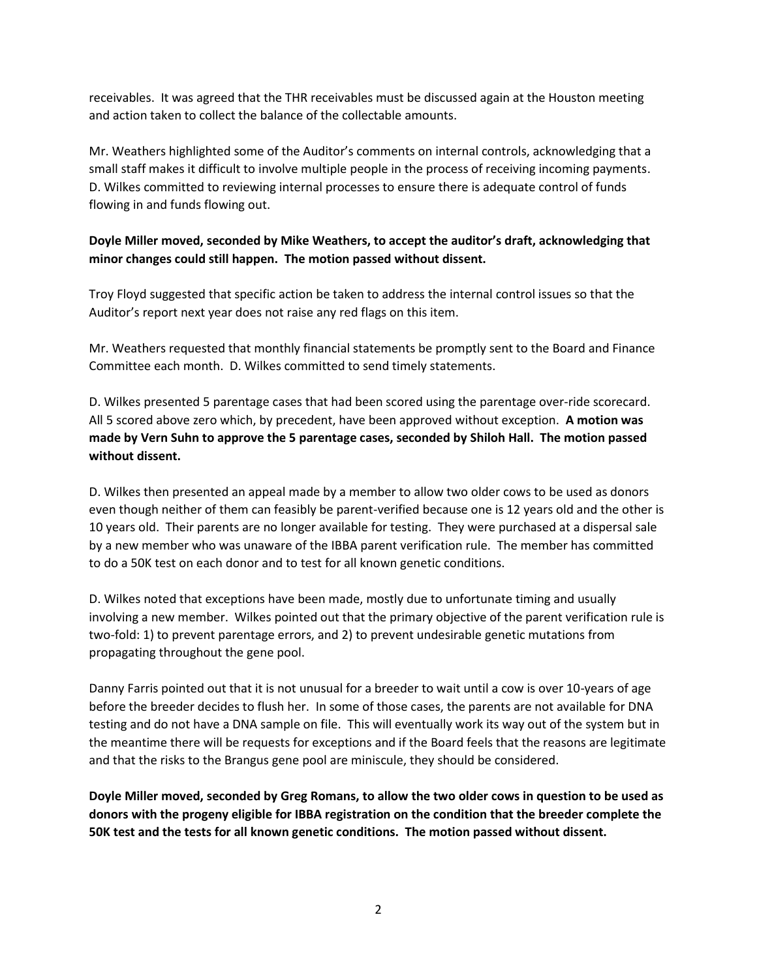receivables. It was agreed that the THR receivables must be discussed again at the Houston meeting and action taken to collect the balance of the collectable amounts.

Mr. Weathers highlighted some of the Auditor's comments on internal controls, acknowledging that a small staff makes it difficult to involve multiple people in the process of receiving incoming payments. D. Wilkes committed to reviewing internal processes to ensure there is adequate control of funds flowing in and funds flowing out.

#### **Doyle Miller moved, seconded by Mike Weathers, to accept the auditor's draft, acknowledging that minor changes could still happen. The motion passed without dissent.**

Troy Floyd suggested that specific action be taken to address the internal control issues so that the Auditor's report next year does not raise any red flags on this item.

Mr. Weathers requested that monthly financial statements be promptly sent to the Board and Finance Committee each month. D. Wilkes committed to send timely statements.

D. Wilkes presented 5 parentage cases that had been scored using the parentage over-ride scorecard. All 5 scored above zero which, by precedent, have been approved without exception. **A motion was made by Vern Suhn to approve the 5 parentage cases, seconded by Shiloh Hall. The motion passed without dissent.** 

D. Wilkes then presented an appeal made by a member to allow two older cows to be used as donors even though neither of them can feasibly be parent-verified because one is 12 years old and the other is 10 years old. Their parents are no longer available for testing. They were purchased at a dispersal sale by a new member who was unaware of the IBBA parent verification rule. The member has committed to do a 50K test on each donor and to test for all known genetic conditions.

D. Wilkes noted that exceptions have been made, mostly due to unfortunate timing and usually involving a new member. Wilkes pointed out that the primary objective of the parent verification rule is two-fold: 1) to prevent parentage errors, and 2) to prevent undesirable genetic mutations from propagating throughout the gene pool.

Danny Farris pointed out that it is not unusual for a breeder to wait until a cow is over 10-years of age before the breeder decides to flush her. In some of those cases, the parents are not available for DNA testing and do not have a DNA sample on file. This will eventually work its way out of the system but in the meantime there will be requests for exceptions and if the Board feels that the reasons are legitimate and that the risks to the Brangus gene pool are miniscule, they should be considered.

**Doyle Miller moved, seconded by Greg Romans, to allow the two older cows in question to be used as donors with the progeny eligible for IBBA registration on the condition that the breeder complete the 50K test and the tests for all known genetic conditions. The motion passed without dissent.**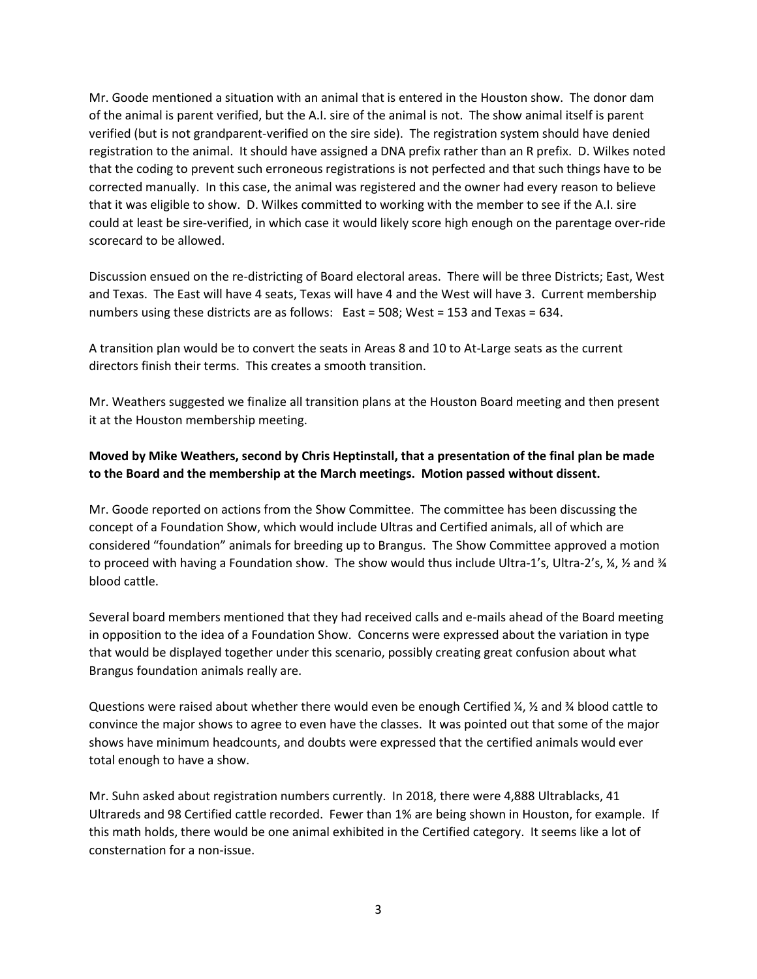Mr. Goode mentioned a situation with an animal that is entered in the Houston show. The donor dam of the animal is parent verified, but the A.I. sire of the animal is not. The show animal itself is parent verified (but is not grandparent-verified on the sire side). The registration system should have denied registration to the animal. It should have assigned a DNA prefix rather than an R prefix. D. Wilkes noted that the coding to prevent such erroneous registrations is not perfected and that such things have to be corrected manually. In this case, the animal was registered and the owner had every reason to believe that it was eligible to show. D. Wilkes committed to working with the member to see if the A.I. sire could at least be sire-verified, in which case it would likely score high enough on the parentage over-ride scorecard to be allowed.

Discussion ensued on the re-districting of Board electoral areas. There will be three Districts; East, West and Texas. The East will have 4 seats, Texas will have 4 and the West will have 3. Current membership numbers using these districts are as follows: East = 508; West = 153 and Texas = 634.

A transition plan would be to convert the seats in Areas 8 and 10 to At-Large seats as the current directors finish their terms. This creates a smooth transition.

Mr. Weathers suggested we finalize all transition plans at the Houston Board meeting and then present it at the Houston membership meeting.

#### **Moved by Mike Weathers, second by Chris Heptinstall, that a presentation of the final plan be made to the Board and the membership at the March meetings. Motion passed without dissent.**

Mr. Goode reported on actions from the Show Committee. The committee has been discussing the concept of a Foundation Show, which would include Ultras and Certified animals, all of which are considered "foundation" animals for breeding up to Brangus. The Show Committee approved a motion to proceed with having a Foundation show. The show would thus include Ultra-1's, Ultra-2's, ¼, ½ and ¾ blood cattle.

Several board members mentioned that they had received calls and e-mails ahead of the Board meeting in opposition to the idea of a Foundation Show. Concerns were expressed about the variation in type that would be displayed together under this scenario, possibly creating great confusion about what Brangus foundation animals really are.

Questions were raised about whether there would even be enough Certified ¼, ½ and ¾ blood cattle to convince the major shows to agree to even have the classes. It was pointed out that some of the major shows have minimum headcounts, and doubts were expressed that the certified animals would ever total enough to have a show.

Mr. Suhn asked about registration numbers currently. In 2018, there were 4,888 Ultrablacks, 41 Ultrareds and 98 Certified cattle recorded. Fewer than 1% are being shown in Houston, for example. If this math holds, there would be one animal exhibited in the Certified category. It seems like a lot of consternation for a non-issue.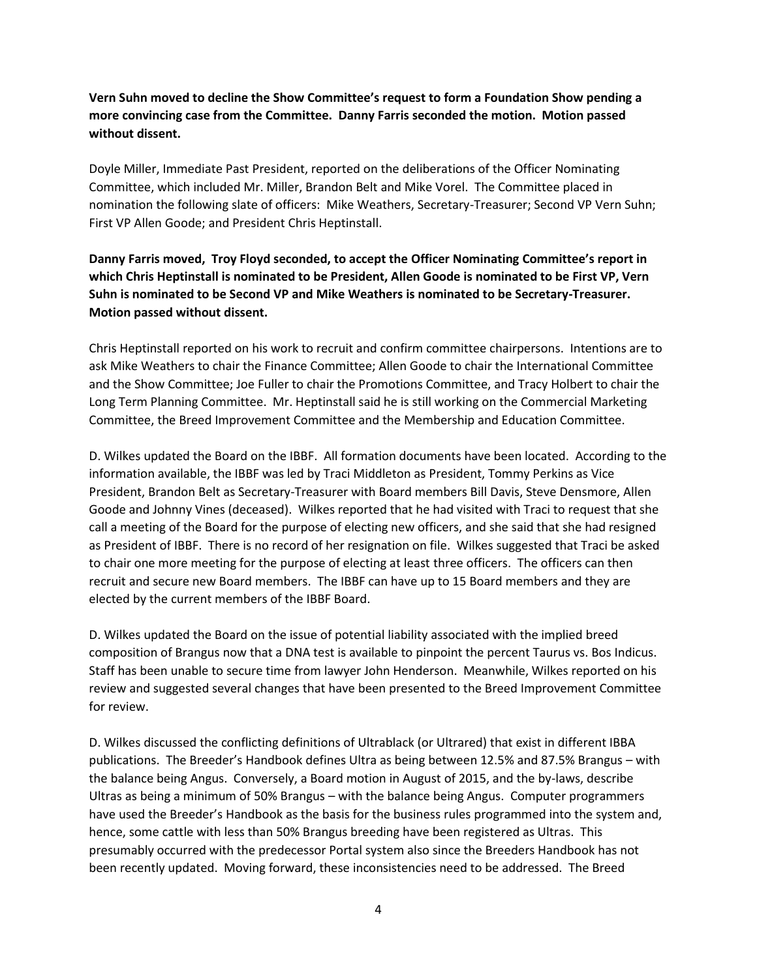**Vern Suhn moved to decline the Show Committee's request to form a Foundation Show pending a more convincing case from the Committee. Danny Farris seconded the motion. Motion passed without dissent.** 

Doyle Miller, Immediate Past President, reported on the deliberations of the Officer Nominating Committee, which included Mr. Miller, Brandon Belt and Mike Vorel. The Committee placed in nomination the following slate of officers: Mike Weathers, Secretary-Treasurer; Second VP Vern Suhn; First VP Allen Goode; and President Chris Heptinstall.

**Danny Farris moved, Troy Floyd seconded, to accept the Officer Nominating Committee's report in which Chris Heptinstall is nominated to be President, Allen Goode is nominated to be First VP, Vern Suhn is nominated to be Second VP and Mike Weathers is nominated to be Secretary-Treasurer. Motion passed without dissent.** 

Chris Heptinstall reported on his work to recruit and confirm committee chairpersons. Intentions are to ask Mike Weathers to chair the Finance Committee; Allen Goode to chair the International Committee and the Show Committee; Joe Fuller to chair the Promotions Committee, and Tracy Holbert to chair the Long Term Planning Committee. Mr. Heptinstall said he is still working on the Commercial Marketing Committee, the Breed Improvement Committee and the Membership and Education Committee.

D. Wilkes updated the Board on the IBBF. All formation documents have been located. According to the information available, the IBBF was led by Traci Middleton as President, Tommy Perkins as Vice President, Brandon Belt as Secretary-Treasurer with Board members Bill Davis, Steve Densmore, Allen Goode and Johnny Vines (deceased). Wilkes reported that he had visited with Traci to request that she call a meeting of the Board for the purpose of electing new officers, and she said that she had resigned as President of IBBF. There is no record of her resignation on file. Wilkes suggested that Traci be asked to chair one more meeting for the purpose of electing at least three officers. The officers can then recruit and secure new Board members. The IBBF can have up to 15 Board members and they are elected by the current members of the IBBF Board.

D. Wilkes updated the Board on the issue of potential liability associated with the implied breed composition of Brangus now that a DNA test is available to pinpoint the percent Taurus vs. Bos Indicus. Staff has been unable to secure time from lawyer John Henderson. Meanwhile, Wilkes reported on his review and suggested several changes that have been presented to the Breed Improvement Committee for review.

D. Wilkes discussed the conflicting definitions of Ultrablack (or Ultrared) that exist in different IBBA publications. The Breeder's Handbook defines Ultra as being between 12.5% and 87.5% Brangus – with the balance being Angus. Conversely, a Board motion in August of 2015, and the by-laws, describe Ultras as being a minimum of 50% Brangus – with the balance being Angus. Computer programmers have used the Breeder's Handbook as the basis for the business rules programmed into the system and, hence, some cattle with less than 50% Brangus breeding have been registered as Ultras. This presumably occurred with the predecessor Portal system also since the Breeders Handbook has not been recently updated. Moving forward, these inconsistencies need to be addressed. The Breed